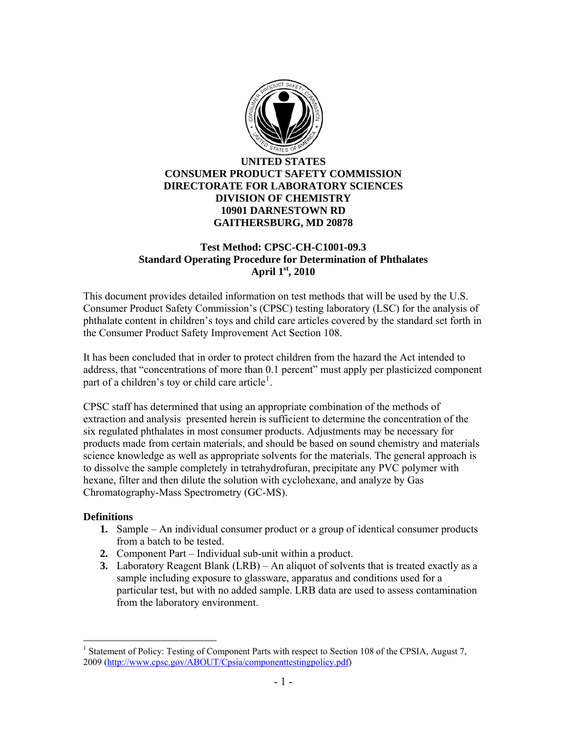

## **UNITED STATES CONSUMER PRODUCT SAFETY COMMISSION DIRECTORATE FOR LABORATORY SCIENCES DIVISION OF CHEMISTRY 10901 DARNESTOWN RD GAITHERSBURG, MD 20878**

### **Test Method: CPSC-CH-C1001-09.3 Standard Operating Procedure for Determination of Phthalates April 1st, 2010**

This document provides detailed information on test methods that will be used by the U.S. Consumer Product Safety Commission's (CPSC) testing laboratory (LSC) for the analysis of phthalate content in children's toys and child care articles covered by the standard set forth in the Consumer Product Safety Improvement Act Section 108.

It has been concluded that in order to protect children from the hazard the Act intended to address, that "concentrations of more than 0.1 percent" must apply per plasticized component part of a children's toy or child care article<sup>[1](#page-0-0)</sup>.

CPSC staff has determined that using an appropriate combination of the methods of extraction and analysis presented herein is sufficient to determine the concentration of the six regulated phthalates in most consumer products. Adjustments may be necessary for products made from certain materials, and should be based on sound chemistry and materials science knowledge as well as appropriate solvents for the materials. The general approach is to dissolve the sample completely in tetrahydrofuran, precipitate any PVC polymer with hexane, filter and then dilute the solution with cyclohexane, and analyze by Gas Chromatography-Mass Spectrometry (GC-MS).

#### **Definitions**

 $\overline{a}$ 

- **1.** Sample An individual consumer product or a group of identical consumer products from a batch to be tested.
- **2.** Component Part Individual sub-unit within a product.
- **3.** Laboratory Reagent Blank (LRB) An aliquot of solvents that is treated exactly as a sample including exposure to glassware, apparatus and conditions used for a particular test, but with no added sample. LRB data are used to assess contamination from the laboratory environment.

<span id="page-0-0"></span><sup>&</sup>lt;sup>1</sup> Statement of Policy: Testing of Component Parts with respect to Section 108 of the CPSIA, August 7, 2009 ([http://www.cpsc.gov/ABOUT/Cpsia/componenttestingpolicy.pdf\)](http://www.cpsc.gov/ABOUT/Cpsia/componenttestingpolicy.pdf)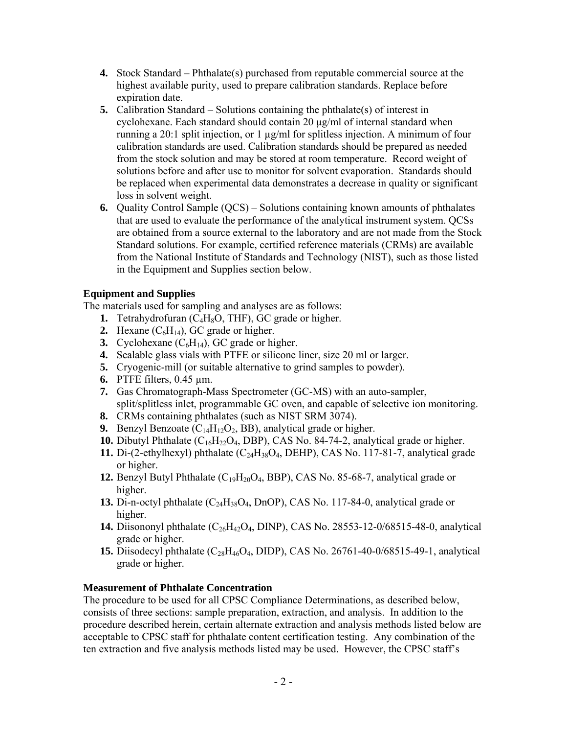- **4.** Stock Standard Phthalate(s) purchased from reputable commercial source at the highest available purity, used to prepare calibration standards. Replace before expiration date.
- **5.** Calibration Standard Solutions containing the phthalate(s) of interest in cyclohexane. Each standard should contain 20 μg/ml of internal standard when running a 20:1 split injection, or 1 µg/ml for splitless injection. A minimum of four calibration standards are used. Calibration standards should be prepared as needed from the stock solution and may be stored at room temperature. Record weight of solutions before and after use to monitor for solvent evaporation. Standards should be replaced when experimental data demonstrates a decrease in quality or significant loss in solvent weight.
- **6.** Quality Control Sample (QCS) Solutions containing known amounts of phthalates that are used to evaluate the performance of the analytical instrument system. QCSs are obtained from a source external to the laboratory and are not made from the Stock Standard solutions. For example, certified reference materials (CRMs) are available from the National Institute of Standards and Technology (NIST), such as those listed in the Equipment and Supplies section below.

## **Equipment and Supplies**

The materials used for sampling and analyses are as follows:

- **1.** Tetrahydrofuran  $(C_4H_8O, THF)$ , GC grade or higher.
- **2.** Hexane  $(C_6H_{14})$ , GC grade or higher.
- **3.** Cyclohexane  $(C_6H_{14})$ , GC grade or higher.
- **4.** Sealable glass vials with PTFE or silicone liner, size 20 ml or larger.
- **5.** Cryogenic-mill (or suitable alternative to grind samples to powder).
- **6.** PTFE filters, 0.45 µm.
- **7.** Gas Chromatograph-Mass Spectrometer (GC-MS) with an auto-sampler, split/splitless inlet, programmable GC oven, and capable of selective ion monitoring.
- **8.** CRMs containing phthalates (such as NIST SRM 3074).
- **9.** Benzyl Benzoate  $(C_{14}H_{12}O_2, BB)$ , analytical grade or higher.
- **10.** Dibutyl Phthalate  $(C_{16}H_{22}O_4, DBP)$ , CAS No. 84-74-2, analytical grade or higher.
- **11.** Di-(2-ethylhexyl) phthalate  $(C_{24}H_{38}O_4, \text{DEHP})$ , CAS No. 117-81-7, analytical grade or higher.
- **12.** Benzyl Butyl Phthalate  $(C_{19}H_{20}O_4, BBP)$ , CAS No. 85-68-7, analytical grade or higher.
- **13.** Di-n-octyl phthalate  $(C_{24}H_{38}O_4, D_{10}OP)$ , CAS No. 117-84-0, analytical grade or higher.
- **14.** Diisononyl phthalate  $(C_{26}H_{42}O_4,$  DINP), CAS No. 28553-12-0/68515-48-0, analytical grade or higher.
- **15.** Diisodecyl phthalate  $(C_{28}H_{46}O_4, DIDP)$ , CAS No. 26761-40-0/68515-49-1, analytical grade or higher.

#### **Measurement of Phthalate Concentration**

The procedure to be used for all CPSC Compliance Determinations, as described below, consists of three sections: sample preparation, extraction, and analysis. In addition to the procedure described herein, certain alternate extraction and analysis methods listed below are acceptable to CPSC staff for phthalate content certification testing. Any combination of the ten extraction and five analysis methods listed may be used. However, the CPSC staff's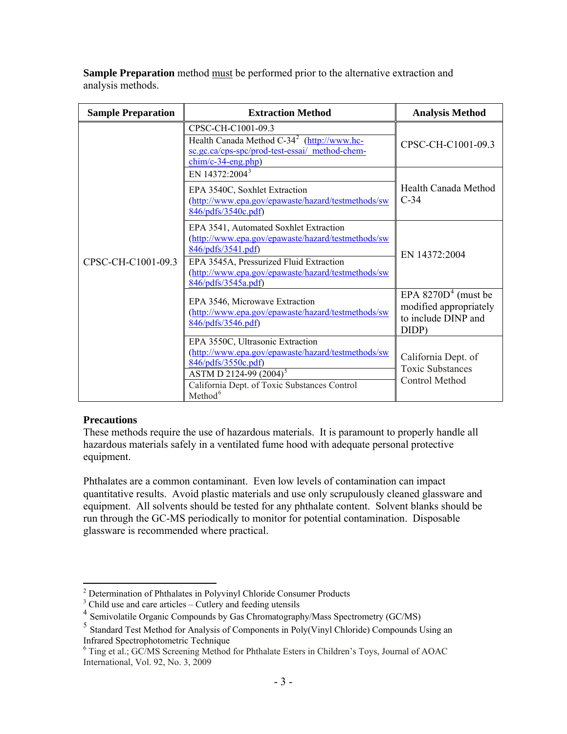**Sample Preparation** method must be performed prior to the alternative extraction and analysis methods.

| <b>Sample Preparation</b> | <b>Extraction Method</b>                                                                                                                                                                                                                   | <b>Analysis Method</b>                                                          |
|---------------------------|--------------------------------------------------------------------------------------------------------------------------------------------------------------------------------------------------------------------------------------------|---------------------------------------------------------------------------------|
| CPSC-CH-C1001-09.3        | CPSC-CH-C1001-09.3<br>Health Canada Method C-34 <sup>2</sup> (http://www.hc-<br>sc.gc.ca/cps-spc/prod-test-essai/ method-chem-<br>$chim/c-34-eng.php)$                                                                                     | CPSC-CH-C1001-09.3                                                              |
|                           | EN 14372:2004 <sup>3</sup><br>EPA 3540C, Soxhlet Extraction<br>(http://www.epa.gov/epawaste/hazard/testmethods/sw<br>846/pdfs/3540c.pdf)                                                                                                   | Health Canada Method<br>$C-34$                                                  |
|                           | EPA 3541, Automated Soxhlet Extraction<br>(http://www.epa.gov/epawaste/hazard/testmethods/sw<br>846/pdfs/3541.pdf)<br>EPA 3545A, Pressurized Fluid Extraction<br>(http://www.epa.gov/epawaste/hazard/testmethods/sw<br>846/pdfs/3545a.pdf) | EN 14372:2004                                                                   |
|                           | EPA 3546, Microwave Extraction<br>(http://www.epa.gov/epawaste/hazard/testmethods/sw<br>846/pdfs/3546.pdf)                                                                                                                                 | EPA $8270D4$ (must be<br>modified appropriately<br>to include DINP and<br>DIDP) |
|                           | EPA 3550C, Ultrasonic Extraction<br>(http://www.epa.gov/epawaste/hazard/testmethods/sw<br>846/pdfs/3550c.pdf)<br>ASTM D 2124-99 (2004) <sup>5</sup><br>California Dept. of Toxic Substances Control<br>Method <sup>6</sup>                 | California Dept. of<br><b>Toxic Substances</b><br>Control Method                |

# **Precautions**

These methods require the use of hazardous materials. It is paramount to properly handle all hazardous materials safely in a ventilated fume hood with adequate personal protective equipment.

Phthalates are a common contaminant. Even low levels of contamination can impact quantitative results. Avoid plastic materials and use only scrupulously cleaned glassware and equipment. All solvents should be tested for any phthalate content. Solvent blanks should be run through the GC-MS periodically to monitor for potential contamination. Disposable glassware is recommended where practical.

 2 Determination of Phthalates in Polyvinyl Chloride Consumer Products

<span id="page-2-0"></span> $3$  Child use and care articles – Cutlery and feeding utensils

<span id="page-2-2"></span><span id="page-2-1"></span><sup>&</sup>lt;sup>4</sup> Semivolatile Organic Compounds by Gas Chromatography/Mass Spectrometry (GC/MS)

<span id="page-2-3"></span><sup>5</sup> Standard Test Method for Analysis of Components in Poly(Vinyl Chloride) Compounds Using an Infrared Spectrophotometric Technique

<span id="page-2-4"></span><sup>6</sup> Ting et al.; GC/MS Screening Method for Phthalate Esters in Children's Toys, Journal of AOAC International, Vol. 92, No. 3, 2009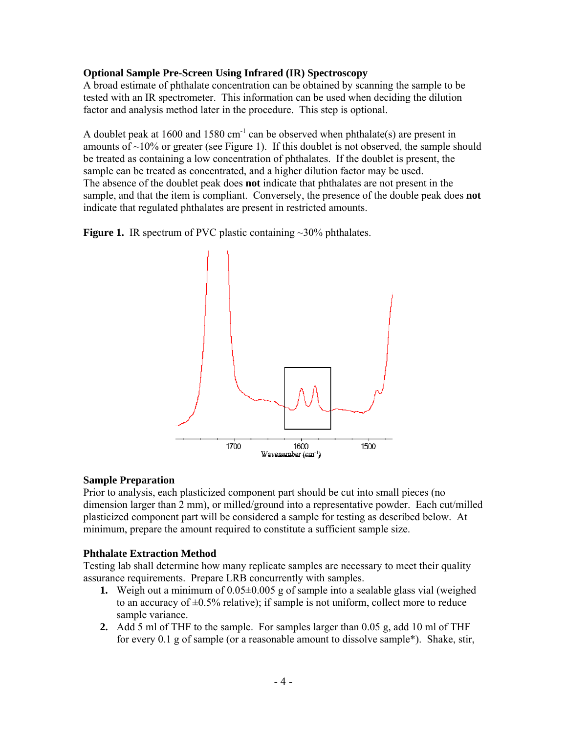### **Optional Sample Pre-Screen Using Infrared (IR) Spectroscopy**

A broad estimate of phthalate concentration can be obtained by scanning the sample to be tested with an IR spectrometer. This information can be used when deciding the dilution factor and analysis method later in the procedure. This step is optional.

A doublet peak at 1600 and 1580  $cm^{-1}$  can be observed when phthalate(s) are present in amounts of  $\sim$ 10% or greater (see Figure 1). If this doublet is not observed, the sample should be treated as containing a low concentration of phthalates. If the doublet is present, the sample can be treated as concentrated, and a higher dilution factor may be used. The absence of the doublet peak does **not** indicate that phthalates are not present in the sample, and that the item is compliant. Conversely, the presence of the double peak does **not** indicate that regulated phthalates are present in restricted amounts.

**Figure 1.** IR spectrum of PVC plastic containing ~30% phthalates.



#### **Sample Preparation**

Prior to analysis, each plasticized component part should be cut into small pieces (no dimension larger than 2 mm), or milled/ground into a representative powder. Each cut/milled plasticized component part will be considered a sample for testing as described below. At minimum, prepare the amount required to constitute a sufficient sample size.

#### **Phthalate Extraction Method**

Testing lab shall determine how many replicate samples are necessary to meet their quality assurance requirements. Prepare LRB concurrently with samples.

- **1.** Weigh out a minimum of 0.05±0.005 g of sample into a sealable glass vial (weighed to an accuracy of  $\pm 0.5\%$  relative); if sample is not uniform, collect more to reduce sample variance.
- **2.** Add 5 ml of THF to the sample. For samples larger than 0.05 g, add 10 ml of THF for every 0.1 g of sample (or a reasonable amount to dissolve sample\*). Shake, stir,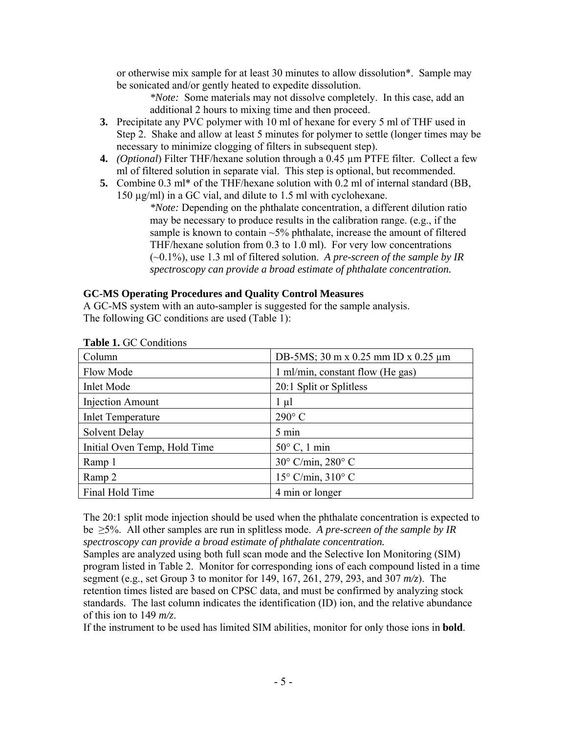or otherwise mix sample for at least 30 minutes to allow dissolution\*. Sample may be sonicated and/or gently heated to expedite dissolution.

*\*Note:* Some materials may not dissolve completely. In this case, add an additional 2 hours to mixing time and then proceed.

- **3.** Precipitate any PVC polymer with 10 ml of hexane for every 5 ml of THF used in Step 2. Shake and allow at least 5 minutes for polymer to settle (longer times may be necessary to minimize clogging of filters in subsequent step).
- **4.** *(Optional*) Filter THF/hexane solution through a 0.45 µm PTFE filter. Collect a few ml of filtered solution in separate vial. This step is optional, but recommended.
- **5.** Combine 0.3 ml\* of the THF/hexane solution with 0.2 ml of internal standard (BB, 150 µg/ml) in a GC vial, and dilute to 1.5 ml with cyclohexane.

*\*Note:* Depending on the phthalate concentration, a different dilution ratio may be necessary to produce results in the calibration range. (e.g., if the sample is known to contain  $\sim$  5% phthalate, increase the amount of filtered THF/hexane solution from 0.3 to 1.0 ml). For very low concentrations (~0.1%), use 1.3 ml of filtered solution. *A pre-screen of the sample by IR spectroscopy can provide a broad estimate of phthalate concentration.*

## **GC-MS Operating Procedures and Quality Control Measures**

A GC-MS system with an auto-sampler is suggested for the sample analysis. The following GC conditions are used (Table 1):

| Column                       | DB-5MS; 30 m x 0.25 mm ID x 0.25 $\mu$ m |  |  |
|------------------------------|------------------------------------------|--|--|
| Flow Mode                    | 1 ml/min, constant flow (He gas)         |  |  |
| <b>Inlet Mode</b>            | 20:1 Split or Splitless                  |  |  |
| <b>Injection Amount</b>      | $1 \mu l$                                |  |  |
| <b>Inlet Temperature</b>     | $290^{\circ}$ C                          |  |  |
| Solvent Delay                | 5 min                                    |  |  |
| Initial Oven Temp, Hold Time | $50^{\circ}$ C, 1 min                    |  |  |
| Ramp 1                       | $30^{\circ}$ C/min, $280^{\circ}$ C      |  |  |
| Ramp 2                       | $15^{\circ}$ C/min, $310^{\circ}$ C      |  |  |
| Final Hold Time              | 4 min or longer                          |  |  |

**Table 1.** GC Conditions

The 20:1 split mode injection should be used when the phthalate concentration is expected to be ≥5%. All other samples are run in splitless mode. *A pre-screen of the sample by IR spectroscopy can provide a broad estimate of phthalate concentration.*

Samples are analyzed using both full scan mode and the Selective Ion Monitoring (SIM) program listed in Table 2. Monitor for corresponding ions of each compound listed in a time segment (e.g., set Group 3 to monitor for 149, 167, 261, 279, 293, and 307 *m/z*). The retention times listed are based on CPSC data, and must be confirmed by analyzing stock standards. The last column indicates the identification (ID) ion, and the relative abundance of this ion to 149 *m/z*.

If the instrument to be used has limited SIM abilities, monitor for only those ions in **bold**.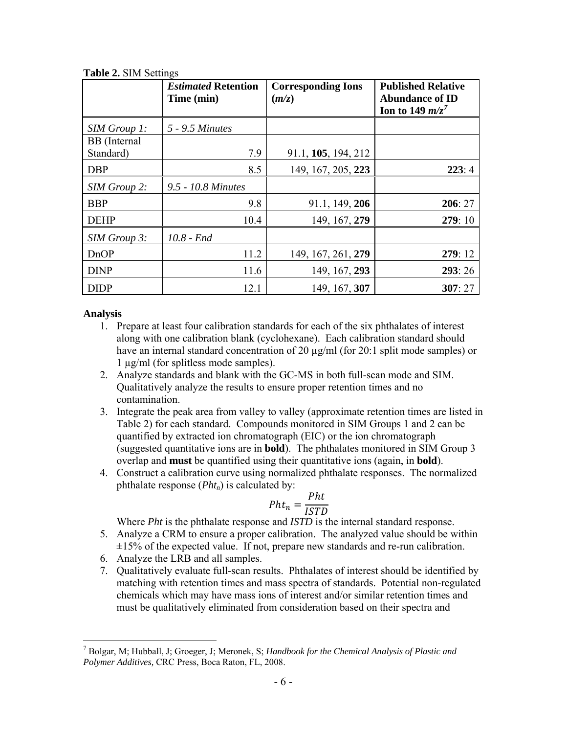|                           | <b>Estimated Retention</b><br>Time (min) | <b>Corresponding Ions</b><br>(m/z) | <b>Published Relative</b><br><b>Abundance of ID</b><br>Ion to 149 $m/z^7$ |
|---------------------------|------------------------------------------|------------------------------------|---------------------------------------------------------------------------|
| SIM Group 1:              | 5 - 9.5 Minutes                          |                                    |                                                                           |
| BB (Internal<br>Standard) | 7.9                                      | 91.1, 105, 194, 212                |                                                                           |
| <b>DBP</b>                | 8.5                                      | 149, 167, 205, 223                 | 223:4                                                                     |
| SIM Group 2:              | 9.5 - 10.8 Minutes                       |                                    |                                                                           |
| <b>BBP</b>                | 9.8                                      | 91.1, 149, 206                     | 206:27                                                                    |
| <b>DEHP</b>               | 10.4                                     | 149, 167, 279                      | 279:10                                                                    |
| SIM Group 3:              | $10.8$ - End                             |                                    |                                                                           |
| <b>DnOP</b>               | 11.2                                     | 149, 167, 261, 279                 | 279:12                                                                    |
| <b>DINP</b>               | 11.6                                     | 149, 167, 293                      | 293:26                                                                    |
| <b>DIDP</b>               | 12.1                                     | 149, 167, 307                      | 307:27                                                                    |

**Table 2.** SIM Settings

#### **Analysis**

 $\overline{a}$ 

- 1. Prepare at least four calibration standards for each of the six phthalates of interest along with one calibration blank (cyclohexane). Each calibration standard should have an internal standard concentration of 20 µg/ml (for 20:1 split mode samples) or 1 µg/ml (for splitless mode samples).
- 2. Analyze standards and blank with the GC-MS in both full-scan mode and SIM. Qualitatively analyze the results to ensure proper retention times and no contamination.
- 3. Integrate the peak area from valley to valley (approximate retention times are listed in Table 2) for each standard. Compounds monitored in SIM Groups 1 and 2 can be quantified by extracted ion chromatograph (EIC) or the ion chromatograph (suggested quantitative ions are in **bold**). The phthalates monitored in SIM Group 3 overlap and **must** be quantified using their quantitative ions (again, in **bold**).
- 4. Construct a calibration curve using normalized phthalate responses. The normalized phthalate response  $(Pht_n)$  is calculated by:

$$
Pht_n = \frac{Pht}{ISTD}
$$

Where *Pht* is the phthalate response and *ISTD* is the internal standard response.

- 5. Analyze a CRM to ensure a proper calibration. The analyzed value should be within  $\pm 15\%$  of the expected value. If not, prepare new standards and re-run calibration.
- 6. Analyze the LRB and all samples.
- 7. Qualitatively evaluate full-scan results. Phthalates of interest should be identified by matching with retention times and mass spectra of standards. Potential non-regulated chemicals which may have mass ions of interest and/or similar retention times and must be qualitatively eliminated from consideration based on their spectra and

<span id="page-5-0"></span><sup>7</sup> Bolgar, M; Hubball, J; Groeger, J; Meronek, S; *Handbook for the Chemical Analysis of Plastic and Polymer Additives,* CRC Press, Boca Raton, FL, 2008.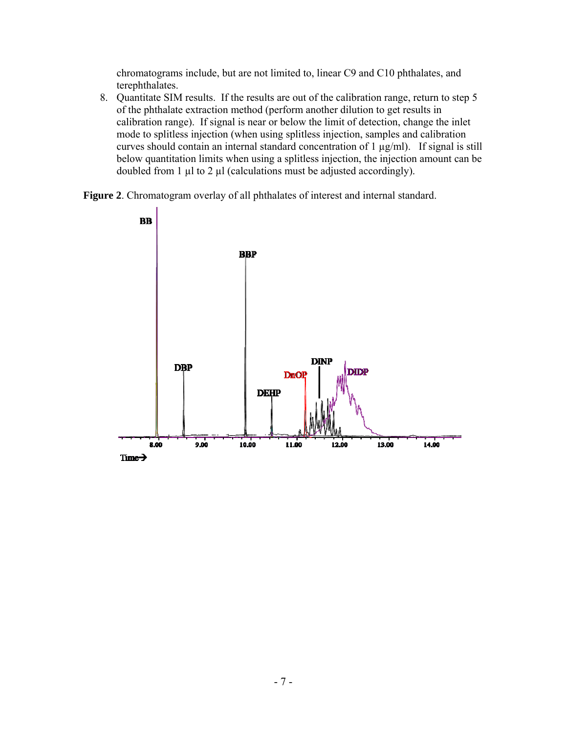chromatograms include, but are not limited to, linear C9 and C10 phthalates, and terephthalates.

8. Quantitate SIM results. If the results are out of the calibration range, return to step 5 of the phthalate extraction method (perform another dilution to get results in calibration range). If signal is near or below the limit of detection, change the inlet mode to splitless injection (when using splitless injection, samples and calibration curves should contain an internal standard concentration of 1 µg/ml). If signal is still below quantitation limits when using a splitless injection, the injection amount can be doubled from 1  $\mu$ l to 2  $\mu$ l (calculations must be adjusted accordingly).

**Figure 2**. Chromatogram overlay of all phthalates of interest and internal standard.